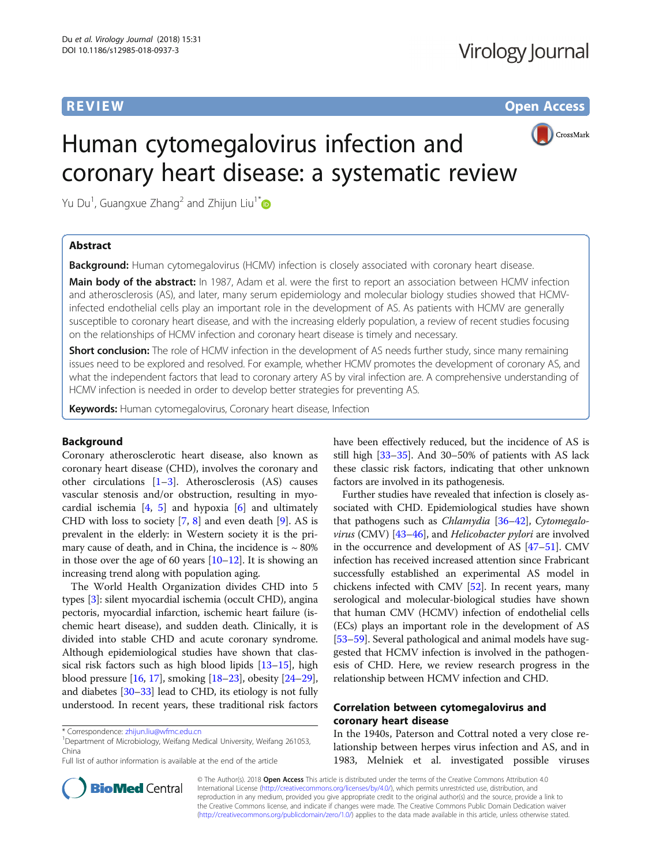**REVIEW CONSTRUCTION CONSTRUCTION CONSTRUCTS** 



# Human cytomegalovirus infection and coronary heart disease: a systematic review

Yu Du<sup>1</sup>, Guangxue Zhang<sup>2</sup> and Zhijun Liu<sup>1\*</sup>

# Abstract

Background: Human cytomegalovirus (HCMV) infection is closely associated with coronary heart disease.

Main body of the abstract: In 1987, Adam et al. were the first to report an association between HCMV infection and atherosclerosis (AS), and later, many serum epidemiology and molecular biology studies showed that HCMVinfected endothelial cells play an important role in the development of AS. As patients with HCMV are generally susceptible to coronary heart disease, and with the increasing elderly population, a review of recent studies focusing on the relationships of HCMV infection and coronary heart disease is timely and necessary.

Short conclusion: The role of HCMV infection in the development of AS needs further study, since many remaining issues need to be explored and resolved. For example, whether HCMV promotes the development of coronary AS, and what the independent factors that lead to coronary artery AS by viral infection are. A comprehensive understanding of HCMV infection is needed in order to develop better strategies for preventing AS.

**Keywords:** Human cytomegalovirus, Coronary heart disease, Infection

# Background

Coronary atherosclerotic heart disease, also known as coronary heart disease (CHD), involves the coronary and other circulations  $[1-3]$  $[1-3]$  $[1-3]$  $[1-3]$ . Atherosclerosis  $(AS)$  causes vascular stenosis and/or obstruction, resulting in myocardial ischemia [\[4](#page-6-0), [5](#page-6-0)] and hypoxia [[6\]](#page-6-0) and ultimately CHD with loss to society  $[7, 8]$  $[7, 8]$  $[7, 8]$  $[7, 8]$  and even death  $[9]$  $[9]$ . AS is prevalent in the elderly: in Western society it is the primary cause of death, and in China, the incidence is  $\sim 80\%$ in those over the age of 60 years  $[10-12]$  $[10-12]$  $[10-12]$  $[10-12]$ . It is showing an increasing trend along with population aging.

The World Health Organization divides CHD into 5 types [\[3\]](#page-6-0): silent myocardial ischemia (occult CHD), angina pectoris, myocardial infarction, ischemic heart failure (ischemic heart disease), and sudden death. Clinically, it is divided into stable CHD and acute coronary syndrome. Although epidemiological studies have shown that classical risk factors such as high blood lipids [[13](#page-7-0)–[15\]](#page-7-0), high blood pressure [\[16](#page-7-0), [17\]](#page-7-0), smoking [\[18](#page-7-0)–[23\]](#page-7-0), obesity [\[24](#page-7-0)–[29](#page-7-0)], and diabetes [\[30](#page-7-0)–[33](#page-7-0)] lead to CHD, its etiology is not fully understood. In recent years, these traditional risk factors

<sup>1</sup>Department of Microbiology, Weifang Medical University, Weifang 261053, China

Full list of author information is available at the end of the article

have been effectively reduced, but the incidence of AS is still high [\[33](#page-7-0)–[35](#page-7-0)]. And 30–50% of patients with AS lack these classic risk factors, indicating that other unknown factors are involved in its pathogenesis.

Further studies have revealed that infection is closely associated with CHD. Epidemiological studies have shown that pathogens such as Chlamydia [\[36](#page-7-0)–[42](#page-7-0)], Cytomegalo*virus* (CMV) [\[43](#page-7-0)–[46\]](#page-7-0), and *Helicobacter pylori* are involved in the occurrence and development of AS [[47](#page-7-0)–[51\]](#page-7-0). CMV infection has received increased attention since Frabricant successfully established an experimental AS model in chickens infected with CMV [[52](#page-7-0)]. In recent years, many serological and molecular-biological studies have shown that human CMV (HCMV) infection of endothelial cells (ECs) plays an important role in the development of AS [[53](#page-7-0)–[59\]](#page-8-0). Several pathological and animal models have suggested that HCMV infection is involved in the pathogenesis of CHD. Here, we review research progress in the relationship between HCMV infection and CHD.

# Correlation between cytomegalovirus and coronary heart disease

In the 1940s, Paterson and Cottral noted a very close relationship between herpes virus infection and AS, and in 1983, Melniek et al. investigated possible viruses



© The Author(s). 2018 Open Access This article is distributed under the terms of the Creative Commons Attribution 4.0 International License [\(http://creativecommons.org/licenses/by/4.0/](http://creativecommons.org/licenses/by/4.0/)), which permits unrestricted use, distribution, and reproduction in any medium, provided you give appropriate credit to the original author(s) and the source, provide a link to the Creative Commons license, and indicate if changes were made. The Creative Commons Public Domain Dedication waiver [\(http://creativecommons.org/publicdomain/zero/1.0/](http://creativecommons.org/publicdomain/zero/1.0/)) applies to the data made available in this article, unless otherwise stated.

<sup>\*</sup> Correspondence: [zhijun.liu@wfmc.edu.cn](mailto:zhijun.liu@wfmc.edu.cn) <sup>1</sup>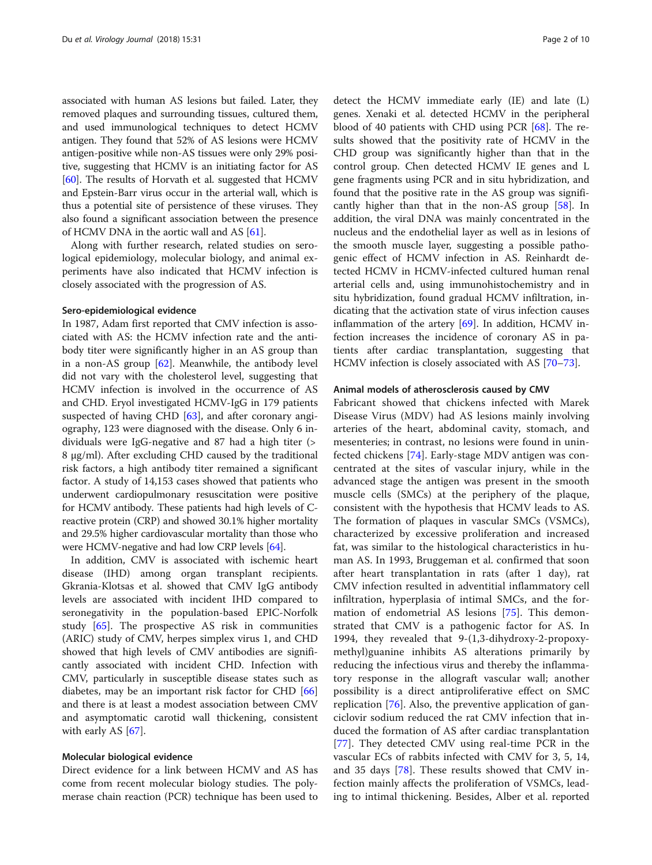associated with human AS lesions but failed. Later, they removed plaques and surrounding tissues, cultured them, and used immunological techniques to detect HCMV antigen. They found that 52% of AS lesions were HCMV antigen-positive while non-AS tissues were only 29% positive, suggesting that HCMV is an initiating factor for AS [[60](#page-8-0)]. The results of Horvath et al. suggested that HCMV and Epstein-Barr virus occur in the arterial wall, which is thus a potential site of persistence of these viruses. They also found a significant association between the presence of HCMV DNA in the aortic wall and AS [\[61\]](#page-8-0).

Along with further research, related studies on serological epidemiology, molecular biology, and animal experiments have also indicated that HCMV infection is closely associated with the progression of AS.

# Sero-epidemiological evidence

In 1987, Adam first reported that CMV infection is associated with AS: the HCMV infection rate and the antibody titer were significantly higher in an AS group than in a non-AS group [[62](#page-8-0)]. Meanwhile, the antibody level did not vary with the cholesterol level, suggesting that HCMV infection is involved in the occurrence of AS and CHD. Eryol investigated HCMV-IgG in 179 patients suspected of having CHD [\[63](#page-8-0)], and after coronary angiography, 123 were diagnosed with the disease. Only 6 individuals were IgG-negative and 87 had a high titer (> 8 μg/ml). After excluding CHD caused by the traditional risk factors, a high antibody titer remained a significant factor. A study of 14,153 cases showed that patients who underwent cardiopulmonary resuscitation were positive for HCMV antibody. These patients had high levels of Creactive protein (CRP) and showed 30.1% higher mortality and 29.5% higher cardiovascular mortality than those who were HCMV-negative and had low CRP levels [\[64\]](#page-8-0).

In addition, CMV is associated with ischemic heart disease (IHD) among organ transplant recipients. Gkrania-Klotsas et al. showed that CMV IgG antibody levels are associated with incident IHD compared to seronegativity in the population-based EPIC-Norfolk study [[65\]](#page-8-0). The prospective AS risk in communities (ARIC) study of CMV, herpes simplex virus 1, and CHD showed that high levels of CMV antibodies are significantly associated with incident CHD. Infection with CMV, particularly in susceptible disease states such as diabetes, may be an important risk factor for CHD [[66](#page-8-0)] and there is at least a modest association between CMV and asymptomatic carotid wall thickening, consistent with early AS [\[67\]](#page-8-0).

# Molecular biological evidence

Direct evidence for a link between HCMV and AS has come from recent molecular biology studies. The polymerase chain reaction (PCR) technique has been used to

detect the HCMV immediate early (IE) and late (L) genes. Xenaki et al. detected HCMV in the peripheral blood of 40 patients with CHD using PCR [[68](#page-8-0)]. The results showed that the positivity rate of HCMV in the CHD group was significantly higher than that in the control group. Chen detected HCMV IE genes and L gene fragments using PCR and in situ hybridization, and found that the positive rate in the AS group was significantly higher than that in the non-AS group [[58](#page-8-0)]. In addition, the viral DNA was mainly concentrated in the nucleus and the endothelial layer as well as in lesions of the smooth muscle layer, suggesting a possible pathogenic effect of HCMV infection in AS. Reinhardt detected HCMV in HCMV-infected cultured human renal arterial cells and, using immunohistochemistry and in situ hybridization, found gradual HCMV infiltration, indicating that the activation state of virus infection causes inflammation of the artery  $[69]$  $[69]$ . In addition, HCMV infection increases the incidence of coronary AS in patients after cardiac transplantation, suggesting that HCMV infection is closely associated with AS [\[70](#page-8-0)–[73\]](#page-8-0).

# Animal models of atherosclerosis caused by CMV

Fabricant showed that chickens infected with Marek Disease Virus (MDV) had AS lesions mainly involving arteries of the heart, abdominal cavity, stomach, and mesenteries; in contrast, no lesions were found in uninfected chickens [[74\]](#page-8-0). Early-stage MDV antigen was concentrated at the sites of vascular injury, while in the advanced stage the antigen was present in the smooth muscle cells (SMCs) at the periphery of the plaque, consistent with the hypothesis that HCMV leads to AS. The formation of plaques in vascular SMCs (VSMCs), characterized by excessive proliferation and increased fat, was similar to the histological characteristics in human AS. In 1993, Bruggeman et al. confirmed that soon after heart transplantation in rats (after 1 day), rat CMV infection resulted in adventitial inflammatory cell infiltration, hyperplasia of intimal SMCs, and the formation of endometrial AS lesions [[75\]](#page-8-0). This demonstrated that CMV is a pathogenic factor for AS. In 1994, they revealed that 9-(1,3-dihydroxy-2-propoxymethyl)guanine inhibits AS alterations primarily by reducing the infectious virus and thereby the inflammatory response in the allograft vascular wall; another possibility is a direct antiproliferative effect on SMC replication [\[76](#page-8-0)]. Also, the preventive application of ganciclovir sodium reduced the rat CMV infection that induced the formation of AS after cardiac transplantation [[77\]](#page-8-0). They detected CMV using real-time PCR in the vascular ECs of rabbits infected with CMV for 3, 5, 14, and 35 days [[78\]](#page-8-0). These results showed that CMV infection mainly affects the proliferation of VSMCs, leading to intimal thickening. Besides, Alber et al. reported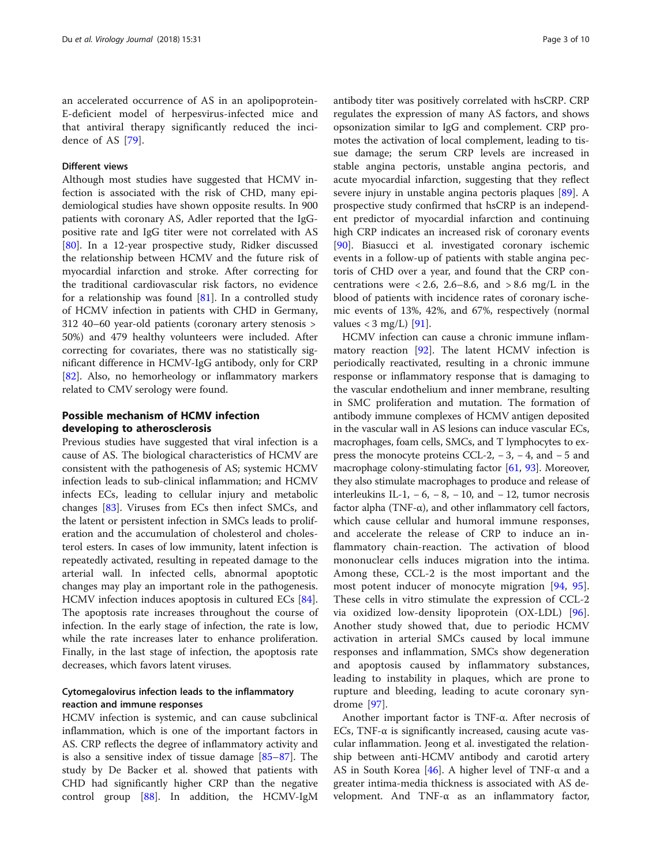an accelerated occurrence of AS in an apolipoprotein-E-deficient model of herpesvirus-infected mice and that antiviral therapy significantly reduced the incidence of AS [\[79](#page-8-0)].

# Different views

Although most studies have suggested that HCMV infection is associated with the risk of CHD, many epidemiological studies have shown opposite results. In 900 patients with coronary AS, Adler reported that the IgGpositive rate and IgG titer were not correlated with AS [[80\]](#page-8-0). In a 12-year prospective study, Ridker discussed the relationship between HCMV and the future risk of myocardial infarction and stroke. After correcting for the traditional cardiovascular risk factors, no evidence for a relationship was found [[81\]](#page-8-0). In a controlled study of HCMV infection in patients with CHD in Germany, 312 40–60 year-old patients (coronary artery stenosis > 50%) and 479 healthy volunteers were included. After correcting for covariates, there was no statistically significant difference in HCMV-IgG antibody, only for CRP [[82\]](#page-8-0). Also, no hemorheology or inflammatory markers related to CMV serology were found.

# Possible mechanism of HCMV infection developing to atherosclerosis

Previous studies have suggested that viral infection is a cause of AS. The biological characteristics of HCMV are consistent with the pathogenesis of AS; systemic HCMV infection leads to sub-clinical inflammation; and HCMV infects ECs, leading to cellular injury and metabolic changes [[83](#page-8-0)]. Viruses from ECs then infect SMCs, and the latent or persistent infection in SMCs leads to proliferation and the accumulation of cholesterol and cholesterol esters. In cases of low immunity, latent infection is repeatedly activated, resulting in repeated damage to the arterial wall. In infected cells, abnormal apoptotic changes may play an important role in the pathogenesis. HCMV infection induces apoptosis in cultured ECs [\[84](#page-8-0)]. The apoptosis rate increases throughout the course of infection. In the early stage of infection, the rate is low, while the rate increases later to enhance proliferation. Finally, in the last stage of infection, the apoptosis rate decreases, which favors latent viruses.

# Cytomegalovirus infection leads to the inflammatory reaction and immune responses

HCMV infection is systemic, and can cause subclinical inflammation, which is one of the important factors in AS. CRP reflects the degree of inflammatory activity and is also a sensitive index of tissue damage [\[85](#page-8-0)–[87\]](#page-8-0). The study by De Backer et al. showed that patients with CHD had significantly higher CRP than the negative control group [\[88](#page-8-0)]. In addition, the HCMV-IgM antibody titer was positively correlated with hsCRP. CRP regulates the expression of many AS factors, and shows opsonization similar to IgG and complement. CRP promotes the activation of local complement, leading to tissue damage; the serum CRP levels are increased in stable angina pectoris, unstable angina pectoris, and acute myocardial infarction, suggesting that they reflect severe injury in unstable angina pectoris plaques [\[89\]](#page-8-0). A prospective study confirmed that hsCRP is an independent predictor of myocardial infarction and continuing high CRP indicates an increased risk of coronary events [[90\]](#page-8-0). Biasucci et al. investigated coronary ischemic events in a follow-up of patients with stable angina pectoris of CHD over a year, and found that the CRP concentrations were  $\langle 2.6, 2.6-8.6, \text{ and } \rangle 8.6 \text{ mg/L}$  in the blood of patients with incidence rates of coronary ischemic events of 13%, 42%, and 67%, respectively (normal values  $<$  3 mg/L) [[91\]](#page-8-0).

HCMV infection can cause a chronic immune inflammatory reaction [[92\]](#page-8-0). The latent HCMV infection is periodically reactivated, resulting in a chronic immune response or inflammatory response that is damaging to the vascular endothelium and inner membrane, resulting in SMC proliferation and mutation. The formation of antibody immune complexes of HCMV antigen deposited in the vascular wall in AS lesions can induce vascular ECs, macrophages, foam cells, SMCs, and T lymphocytes to express the monocyte proteins CCL-2,  $-3$ ,  $-4$ , and  $-5$  and macrophage colony-stimulating factor [[61](#page-8-0), [93](#page-8-0)]. Moreover, they also stimulate macrophages to produce and release of interleukins IL-1, − 6, − 8, − 10, and − 12, tumor necrosis factor alpha (TNF- $\alpha$ ), and other inflammatory cell factors, which cause cellular and humoral immune responses, and accelerate the release of CRP to induce an inflammatory chain-reaction. The activation of blood mononuclear cells induces migration into the intima. Among these, CCL-2 is the most important and the most potent inducer of monocyte migration [[94](#page-8-0), [95](#page-8-0)]. These cells in vitro stimulate the expression of CCL-2 via oxidized low-density lipoprotein (OX-LDL) [\[96](#page-8-0)]. Another study showed that, due to periodic HCMV activation in arterial SMCs caused by local immune responses and inflammation, SMCs show degeneration and apoptosis caused by inflammatory substances, leading to instability in plaques, which are prone to rupture and bleeding, leading to acute coronary syndrome [[97\]](#page-9-0).

Another important factor is TNF-α. After necrosis of ECs, TNF- $\alpha$  is significantly increased, causing acute vascular inflammation. Jeong et al. investigated the relationship between anti-HCMV antibody and carotid artery AS in South Korea [[46\]](#page-7-0). A higher level of TNF- $\alpha$  and a greater intima-media thickness is associated with AS development. And TNF-α as an inflammatory factor,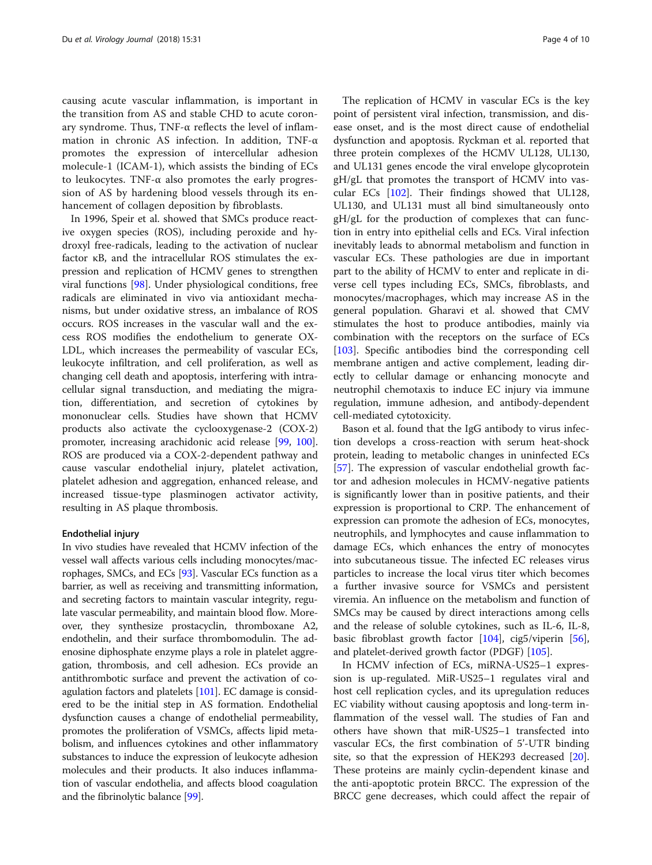causing acute vascular inflammation, is important in the transition from AS and stable CHD to acute coronary syndrome. Thus, TNF-α reflects the level of inflammation in chronic AS infection. In addition, TNF-α promotes the expression of intercellular adhesion molecule-1 (ICAM-1), which assists the binding of ECs to leukocytes. TNF-α also promotes the early progression of AS by hardening blood vessels through its enhancement of collagen deposition by fibroblasts.

In 1996, Speir et al. showed that SMCs produce reactive oxygen species (ROS), including peroxide and hydroxyl free-radicals, leading to the activation of nuclear factor κB, and the intracellular ROS stimulates the expression and replication of HCMV genes to strengthen viral functions [[98](#page-9-0)]. Under physiological conditions, free radicals are eliminated in vivo via antioxidant mechanisms, but under oxidative stress, an imbalance of ROS occurs. ROS increases in the vascular wall and the excess ROS modifies the endothelium to generate OX-LDL, which increases the permeability of vascular ECs, leukocyte infiltration, and cell proliferation, as well as changing cell death and apoptosis, interfering with intracellular signal transduction, and mediating the migration, differentiation, and secretion of cytokines by mononuclear cells. Studies have shown that HCMV products also activate the cyclooxygenase-2 (COX-2) promoter, increasing arachidonic acid release [\[99](#page-9-0), [100](#page-9-0)]. ROS are produced via a COX-2-dependent pathway and cause vascular endothelial injury, platelet activation, platelet adhesion and aggregation, enhanced release, and increased tissue-type plasminogen activator activity, resulting in AS plaque thrombosis.

# Endothelial injury

In vivo studies have revealed that HCMV infection of the vessel wall affects various cells including monocytes/macrophages, SMCs, and ECs [\[93\]](#page-8-0). Vascular ECs function as a barrier, as well as receiving and transmitting information, and secreting factors to maintain vascular integrity, regulate vascular permeability, and maintain blood flow. Moreover, they synthesize prostacyclin, thromboxane A2, endothelin, and their surface thrombomodulin. The adenosine diphosphate enzyme plays a role in platelet aggregation, thrombosis, and cell adhesion. ECs provide an antithrombotic surface and prevent the activation of coagulation factors and platelets [[101](#page-9-0)]. EC damage is considered to be the initial step in AS formation. Endothelial dysfunction causes a change of endothelial permeability, promotes the proliferation of VSMCs, affects lipid metabolism, and influences cytokines and other inflammatory substances to induce the expression of leukocyte adhesion molecules and their products. It also induces inflammation of vascular endothelia, and affects blood coagulation and the fibrinolytic balance [\[99\]](#page-9-0).

The replication of HCMV in vascular ECs is the key point of persistent viral infection, transmission, and disease onset, and is the most direct cause of endothelial dysfunction and apoptosis. Ryckman et al. reported that three protein complexes of the HCMV UL128, UL130, and UL131 genes encode the viral envelope glycoprotein gH/gL that promotes the transport of HCMV into vascular ECs [[102](#page-9-0)]. Their findings showed that UL128, UL130, and UL131 must all bind simultaneously onto gH/gL for the production of complexes that can function in entry into epithelial cells and ECs. Viral infection inevitably leads to abnormal metabolism and function in vascular ECs. These pathologies are due in important part to the ability of HCMV to enter and replicate in diverse cell types including ECs, SMCs, fibroblasts, and monocytes/macrophages, which may increase AS in the general population. Gharavi et al. showed that CMV stimulates the host to produce antibodies, mainly via combination with the receptors on the surface of ECs [[103\]](#page-9-0). Specific antibodies bind the corresponding cell membrane antigen and active complement, leading directly to cellular damage or enhancing monocyte and neutrophil chemotaxis to induce EC injury via immune regulation, immune adhesion, and antibody-dependent cell-mediated cytotoxicity.

Bason et al. found that the IgG antibody to virus infection develops a cross-reaction with serum heat-shock protein, leading to metabolic changes in uninfected ECs [[57\]](#page-8-0). The expression of vascular endothelial growth factor and adhesion molecules in HCMV-negative patients is significantly lower than in positive patients, and their expression is proportional to CRP. The enhancement of expression can promote the adhesion of ECs, monocytes, neutrophils, and lymphocytes and cause inflammation to damage ECs, which enhances the entry of monocytes into subcutaneous tissue. The infected EC releases virus particles to increase the local virus titer which becomes a further invasive source for VSMCs and persistent viremia. An influence on the metabolism and function of SMCs may be caused by direct interactions among cells and the release of soluble cytokines, such as IL-6, IL-8, basic fibroblast growth factor [[104\]](#page-9-0), cig5/viperin [\[56](#page-8-0)], and platelet-derived growth factor (PDGF) [[105\]](#page-9-0).

In HCMV infection of ECs, miRNA-US25–1 expression is up-regulated. MiR-US25–1 regulates viral and host cell replication cycles, and its upregulation reduces EC viability without causing apoptosis and long-term inflammation of the vessel wall. The studies of Fan and others have shown that miR-US25–1 transfected into vascular ECs, the first combination of 5'-UTR binding site, so that the expression of HEK293 decreased [\[20](#page-7-0)]. These proteins are mainly cyclin-dependent kinase and the anti-apoptotic protein BRCC. The expression of the BRCC gene decreases, which could affect the repair of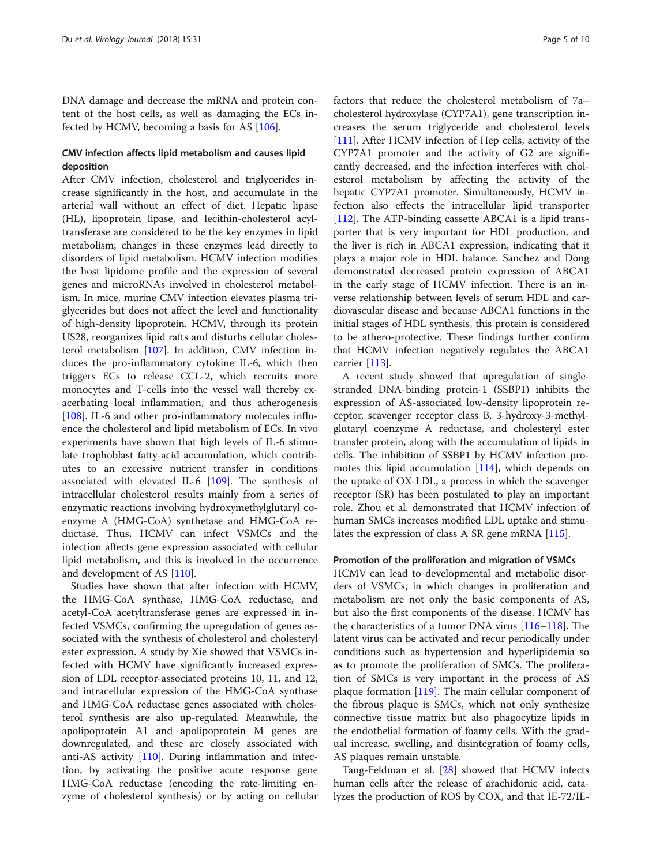DNA damage and decrease the mRNA and protein content of the host cells, as well as damaging the ECs infected by HCMV, becoming a basis for AS [[106](#page-9-0)].

# CMV infection affects lipid metabolism and causes lipid deposition

After CMV infection, cholesterol and triglycerides increase significantly in the host, and accumulate in the arterial wall without an effect of diet. Hepatic lipase (HL), lipoprotein lipase, and lecithin-cholesterol acyltransferase are considered to be the key enzymes in lipid metabolism; changes in these enzymes lead directly to disorders of lipid metabolism. HCMV infection modifies the host lipidome profile and the expression of several genes and microRNAs involved in cholesterol metabolism. In mice, murine CMV infection elevates plasma triglycerides but does not affect the level and functionality of high-density lipoprotein. HCMV, through its protein US28, reorganizes lipid rafts and disturbs cellular cholesterol metabolism [[107](#page-9-0)]. In addition, CMV infection induces the pro-inflammatory cytokine IL-6, which then triggers ECs to release CCL-2, which recruits more monocytes and T-cells into the vessel wall thereby exacerbating local inflammation, and thus atherogenesis [[108\]](#page-9-0). IL-6 and other pro-inflammatory molecules influence the cholesterol and lipid metabolism of ECs. In vivo experiments have shown that high levels of IL-6 stimulate trophoblast fatty-acid accumulation, which contributes to an excessive nutrient transfer in conditions associated with elevated IL-6 [\[109](#page-9-0)]. The synthesis of intracellular cholesterol results mainly from a series of enzymatic reactions involving hydroxymethylglutaryl coenzyme A (HMG-CoA) synthetase and HMG-CoA reductase. Thus, HCMV can infect VSMCs and the infection affects gene expression associated with cellular lipid metabolism, and this is involved in the occurrence and development of AS [\[110](#page-9-0)].

Studies have shown that after infection with HCMV, the HMG-CoA synthase, HMG-CoA reductase, and acetyl-CoA acetyltransferase genes are expressed in infected VSMCs, confirming the upregulation of genes associated with the synthesis of cholesterol and cholesteryl ester expression. A study by Xie showed that VSMCs infected with HCMV have significantly increased expression of LDL receptor-associated proteins 10, 11, and 12, and intracellular expression of the HMG-CoA synthase and HMG-CoA reductase genes associated with cholesterol synthesis are also up-regulated. Meanwhile, the apolipoprotein A1 and apolipoprotein M genes are downregulated, and these are closely associated with anti-AS activity [[110](#page-9-0)]. During inflammation and infection, by activating the positive acute response gene HMG-CoA reductase (encoding the rate-limiting enzyme of cholesterol synthesis) or by acting on cellular factors that reduce the cholesterol metabolism of 7a– cholesterol hydroxylase (CYP7A1), gene transcription increases the serum triglyceride and cholesterol levels [[111\]](#page-9-0). After HCMV infection of Hep cells, activity of the CYP7A1 promoter and the activity of G2 are significantly decreased, and the infection interferes with cholesterol metabolism by affecting the activity of the hepatic CYP7A1 promoter. Simultaneously, HCMV infection also effects the intracellular lipid transporter [[112\]](#page-9-0). The ATP-binding cassette ABCA1 is a lipid transporter that is very important for HDL production, and the liver is rich in ABCA1 expression, indicating that it plays a major role in HDL balance. Sanchez and Dong demonstrated decreased protein expression of ABCA1 in the early stage of HCMV infection. There is an inverse relationship between levels of serum HDL and cardiovascular disease and because ABCA1 functions in the initial stages of HDL synthesis, this protein is considered to be athero-protective. These findings further confirm that HCMV infection negatively regulates the ABCA1 carrier [[113](#page-9-0)].

A recent study showed that upregulation of singlestranded DNA-binding protein-1 (SSBP1) inhibits the expression of AS-associated low-density lipoprotein receptor, scavenger receptor class B, 3-hydroxy-3-methylglutaryl coenzyme A reductase, and cholesteryl ester transfer protein, along with the accumulation of lipids in cells. The inhibition of SSBP1 by HCMV infection promotes this lipid accumulation [\[114](#page-9-0)], which depends on the uptake of OX-LDL, a process in which the scavenger receptor (SR) has been postulated to play an important role. Zhou et al. demonstrated that HCMV infection of human SMCs increases modified LDL uptake and stimulates the expression of class A SR gene mRNA [\[115](#page-9-0)].

# Promotion of the proliferation and migration of VSMCs

HCMV can lead to developmental and metabolic disorders of VSMCs, in which changes in proliferation and metabolism are not only the basic components of AS, but also the first components of the disease. HCMV has the characteristics of a tumor DNA virus [[116](#page-9-0)–[118](#page-9-0)]. The latent virus can be activated and recur periodically under conditions such as hypertension and hyperlipidemia so as to promote the proliferation of SMCs. The proliferation of SMCs is very important in the process of AS plaque formation [[119\]](#page-9-0). The main cellular component of the fibrous plaque is SMCs, which not only synthesize connective tissue matrix but also phagocytize lipids in the endothelial formation of foamy cells. With the gradual increase, swelling, and disintegration of foamy cells, AS plaques remain unstable.

Tang-Feldman et al. [[28](#page-7-0)] showed that HCMV infects human cells after the release of arachidonic acid, catalyzes the production of ROS by COX, and that IE-72/IE-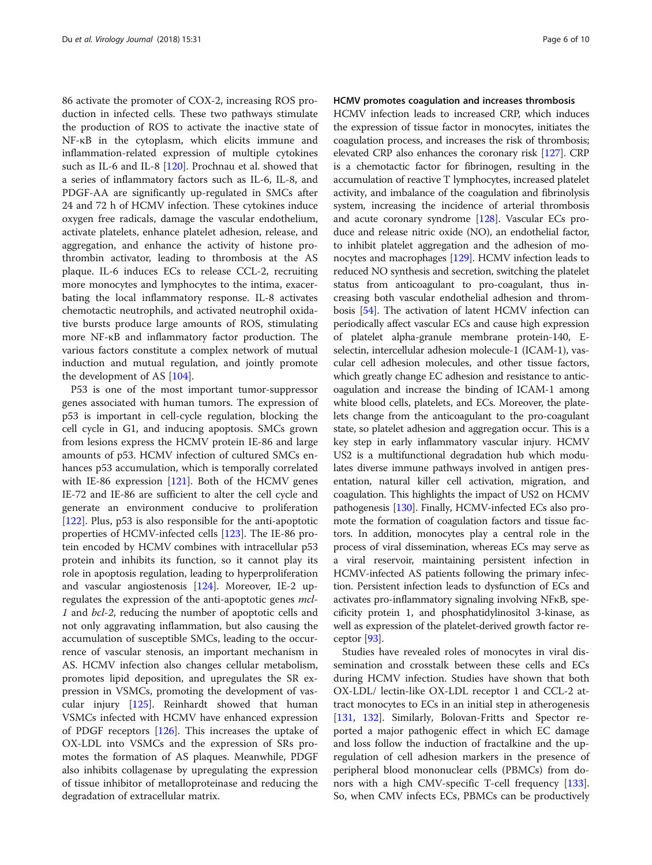86 activate the promoter of COX-2, increasing ROS production in infected cells. These two pathways stimulate the production of ROS to activate the inactive state of NF-κB in the cytoplasm, which elicits immune and inflammation-related expression of multiple cytokines such as IL-6 and IL-8 [\[120\]](#page-9-0). Prochnau et al. showed that a series of inflammatory factors such as IL-6, IL-8, and PDGF-AA are significantly up-regulated in SMCs after 24 and 72 h of HCMV infection. These cytokines induce oxygen free radicals, damage the vascular endothelium, activate platelets, enhance platelet adhesion, release, and aggregation, and enhance the activity of histone prothrombin activator, leading to thrombosis at the AS plaque. IL-6 induces ECs to release CCL-2, recruiting more monocytes and lymphocytes to the intima, exacerbating the local inflammatory response. IL-8 activates chemotactic neutrophils, and activated neutrophil oxidative bursts produce large amounts of ROS, stimulating more NF-κB and inflammatory factor production. The various factors constitute a complex network of mutual induction and mutual regulation, and jointly promote the development of AS [\[104\]](#page-9-0).

P53 is one of the most important tumor-suppressor genes associated with human tumors. The expression of p53 is important in cell-cycle regulation, blocking the cell cycle in G1, and inducing apoptosis. SMCs grown from lesions express the HCMV protein IE-86 and large amounts of p53. HCMV infection of cultured SMCs enhances p53 accumulation, which is temporally correlated with IE-86 expression [\[121\]](#page-9-0). Both of the HCMV genes IE-72 and IE-86 are sufficient to alter the cell cycle and generate an environment conducive to proliferation [[122\]](#page-9-0). Plus, p53 is also responsible for the anti-apoptotic properties of HCMV-infected cells [\[123\]](#page-9-0). The IE-86 protein encoded by HCMV combines with intracellular p53 protein and inhibits its function, so it cannot play its role in apoptosis regulation, leading to hyperproliferation and vascular angiostenosis [[124\]](#page-9-0). Moreover, IE-2 upregulates the expression of the anti-apoptotic genes mcl-1 and bcl-2, reducing the number of apoptotic cells and not only aggravating inflammation, but also causing the accumulation of susceptible SMCs, leading to the occurrence of vascular stenosis, an important mechanism in AS. HCMV infection also changes cellular metabolism, promotes lipid deposition, and upregulates the SR expression in VSMCs, promoting the development of vascular injury [[125\]](#page-9-0). Reinhardt showed that human VSMCs infected with HCMV have enhanced expression of PDGF receptors [\[126](#page-9-0)]. This increases the uptake of OX-LDL into VSMCs and the expression of SRs promotes the formation of AS plaques. Meanwhile, PDGF also inhibits collagenase by upregulating the expression of tissue inhibitor of metalloproteinase and reducing the degradation of extracellular matrix.

# HCMV promotes coagulation and increases thrombosis

HCMV infection leads to increased CRP, which induces the expression of tissue factor in monocytes, initiates the coagulation process, and increases the risk of thrombosis; elevated CRP also enhances the coronary risk [\[127\]](#page-9-0). CRP is a chemotactic factor for fibrinogen, resulting in the accumulation of reactive T lymphocytes, increased platelet activity, and imbalance of the coagulation and fibrinolysis system, increasing the incidence of arterial thrombosis and acute coronary syndrome [[128](#page-9-0)]. Vascular ECs produce and release nitric oxide (NO), an endothelial factor, to inhibit platelet aggregation and the adhesion of monocytes and macrophages [\[129\]](#page-9-0). HCMV infection leads to reduced NO synthesis and secretion, switching the platelet status from anticoagulant to pro-coagulant, thus increasing both vascular endothelial adhesion and thrombosis [[54](#page-8-0)]. The activation of latent HCMV infection can periodically affect vascular ECs and cause high expression of platelet alpha-granule membrane protein-140, Eselectin, intercellular adhesion molecule-1 (ICAM-1), vascular cell adhesion molecules, and other tissue factors, which greatly change EC adhesion and resistance to anticoagulation and increase the binding of ICAM-1 among white blood cells, platelets, and ECs. Moreover, the platelets change from the anticoagulant to the pro-coagulant state, so platelet adhesion and aggregation occur. This is a key step in early inflammatory vascular injury. HCMV US2 is a multifunctional degradation hub which modulates diverse immune pathways involved in antigen presentation, natural killer cell activation, migration, and coagulation. This highlights the impact of US2 on HCMV pathogenesis [\[130](#page-9-0)]. Finally, HCMV-infected ECs also promote the formation of coagulation factors and tissue factors. In addition, monocytes play a central role in the process of viral dissemination, whereas ECs may serve as a viral reservoir, maintaining persistent infection in HCMV-infected AS patients following the primary infection. Persistent infection leads to dysfunction of ECs and activates pro-inflammatory signaling involving NFκB, specificity protein 1, and phosphatidylinositol 3-kinase, as well as expression of the platelet-derived growth factor receptor [[93\]](#page-8-0).

Studies have revealed roles of monocytes in viral dissemination and crosstalk between these cells and ECs during HCMV infection. Studies have shown that both OX-LDL/ lectin-like OX-LDL receptor 1 and CCL-2 attract monocytes to ECs in an initial step in atherogenesis [[131,](#page-9-0) [132](#page-9-0)]. Similarly, Bolovan-Fritts and Spector reported a major pathogenic effect in which EC damage and loss follow the induction of fractalkine and the upregulation of cell adhesion markers in the presence of peripheral blood mononuclear cells (PBMCs) from donors with a high CMV-specific T-cell frequency [[133](#page-9-0)]. So, when CMV infects ECs, PBMCs can be productively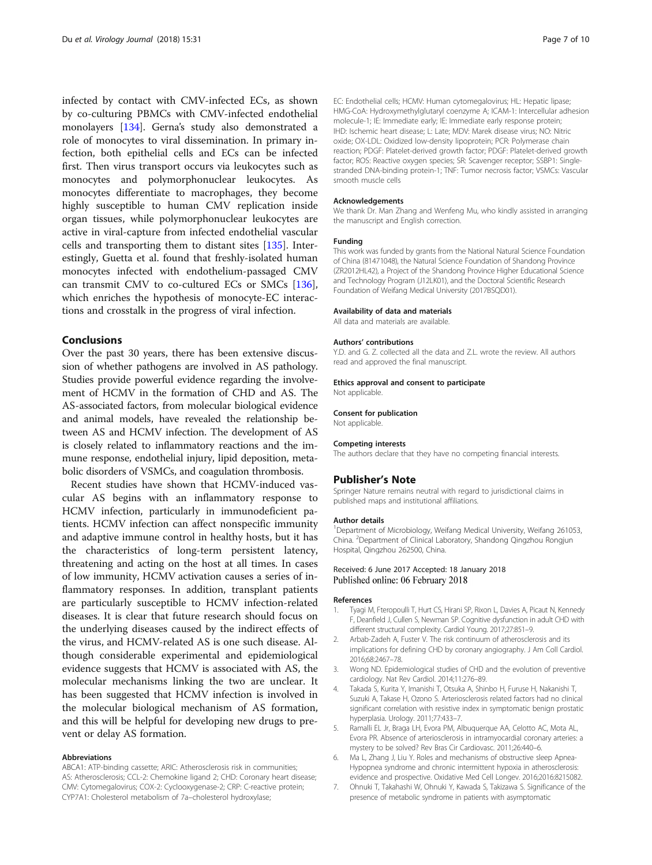<span id="page-6-0"></span>infected by contact with CMV-infected ECs, as shown by co-culturing PBMCs with CMV-infected endothelial monolayers [[134\]](#page-9-0). Gerna's study also demonstrated a role of monocytes to viral dissemination. In primary infection, both epithelial cells and ECs can be infected first. Then virus transport occurs via leukocytes such as monocytes and polymorphonuclear leukocytes. As monocytes differentiate to macrophages, they become highly susceptible to human CMV replication inside organ tissues, while polymorphonuclear leukocytes are active in viral-capture from infected endothelial vascular cells and transporting them to distant sites [\[135](#page-9-0)]. Interestingly, Guetta et al. found that freshly-isolated human monocytes infected with endothelium-passaged CMV can transmit CMV to co-cultured ECs or SMCs [\[136](#page-9-0)], which enriches the hypothesis of monocyte-EC interactions and crosstalk in the progress of viral infection.

# Conclusions

Over the past 30 years, there has been extensive discussion of whether pathogens are involved in AS pathology. Studies provide powerful evidence regarding the involvement of HCMV in the formation of CHD and AS. The AS-associated factors, from molecular biological evidence and animal models, have revealed the relationship between AS and HCMV infection. The development of AS is closely related to inflammatory reactions and the immune response, endothelial injury, lipid deposition, metabolic disorders of VSMCs, and coagulation thrombosis.

Recent studies have shown that HCMV-induced vascular AS begins with an inflammatory response to HCMV infection, particularly in immunodeficient patients. HCMV infection can affect nonspecific immunity and adaptive immune control in healthy hosts, but it has the characteristics of long-term persistent latency, threatening and acting on the host at all times. In cases of low immunity, HCMV activation causes a series of inflammatory responses. In addition, transplant patients are particularly susceptible to HCMV infection-related diseases. It is clear that future research should focus on the underlying diseases caused by the indirect effects of the virus, and HCMV-related AS is one such disease. Although considerable experimental and epidemiological evidence suggests that HCMV is associated with AS, the molecular mechanisms linking the two are unclear. It has been suggested that HCMV infection is involved in the molecular biological mechanism of AS formation, and this will be helpful for developing new drugs to prevent or delay AS formation.

#### Abbreviations

ABCA1: ATP-binding cassette; ARIC: Atherosclerosis risk in communities; AS: Atherosclerosis; CCL-2: Chemokine ligand 2; CHD: Coronary heart disease; CMV: Cytomegalovirus; COX-2: Cyclooxygenase-2; CRP: C-reactive protein; CYP7A1: Cholesterol metabolism of 7a–cholesterol hydroxylase;

EC: Endothelial cells; HCMV: Human cytomegalovirus; HL: Hepatic lipase; HMG-CoA: Hydroxymethylglutaryl coenzyme A; ICAM-1: Intercellular adhesion molecule-1; IE: Immediate early; IE: Immediate early response protein; IHD: Ischemic heart disease; L: Late; MDV: Marek disease virus; NO: Nitric oxide; OX-LDL: Oxidized low-density lipoprotein; PCR: Polymerase chain reaction; PDGF: Platelet-derived growth factor; PDGF: Platelet-derived growth factor; ROS: Reactive oxygen species; SR: Scavenger receptor; SSBP1: Singlestranded DNA-binding protein-1; TNF: Tumor necrosis factor; VSMCs: Vascular smooth muscle cells

#### Acknowledgements

We thank Dr. Man Zhang and Wenfeng Mu, who kindly assisted in arranging the manuscript and English correction.

#### Funding

This work was funded by grants from the National Natural Science Foundation of China (81471048), the Natural Science Foundation of Shandong Province (ZR2012HL42), a Project of the Shandong Province Higher Educational Science and Technology Program (J12LK01), and the Doctoral Scientific Research Foundation of Weifang Medical University (2017BSQD01).

#### Availability of data and materials

All data and materials are available.

#### Authors' contributions

Y.D. and G. Z. collected all the data and Z.L. wrote the review. All authors read and approved the final manuscript.

#### Ethics approval and consent to participate

Not applicable.

# Consent for publication

Not applicable.

## Competing interests

The authors declare that they have no competing financial interests.

# Publisher's Note

Springer Nature remains neutral with regard to jurisdictional claims in published maps and institutional affiliations.

#### Author details

<sup>1</sup>Department of Microbiology, Weifang Medical University, Weifang 261053 China. <sup>2</sup> Department of Clinical Laboratory, Shandong Qingzhou Rongjun Hospital, Qingzhou 262500, China.

### Received: 6 June 2017 Accepted: 18 January 2018 Published online: 06 February 2018

#### References

- Tyagi M, Fteropoulli T, Hurt CS, Hirani SP, Rixon L, Davies A, Picaut N, Kennedy F, Deanfield J, Cullen S, Newman SP. Cognitive dysfunction in adult CHD with different structural complexity. Cardiol Young. 2017;27:851–9.
- Arbab-Zadeh A, Fuster V. The risk continuum of atherosclerosis and its implications for defining CHD by coronary angiography. J Am Coll Cardiol. 2016;68:2467–78.
- 3. Wong ND. Epidemiological studies of CHD and the evolution of preventive cardiology. Nat Rev Cardiol. 2014;11:276–89.
- 4. Takada S, Kurita Y, Imanishi T, Otsuka A, Shinbo H, Furuse H, Nakanishi T, Suzuki A, Takase H, Ozono S. Arteriosclerosis related factors had no clinical significant correlation with resistive index in symptomatic benign prostatic hyperplasia. Urology. 2011;77:433–7.
- 5. Ramalli EL Jr, Braga LH, Evora PM, Albuquerque AA, Celotto AC, Mota AL, Evora PR. Absence of arteriosclerosis in intramyocardial coronary arteries: a mystery to be solved? Rev Bras Cir Cardiovasc. 2011;26:440–6.
- 6. Ma L, Zhang J, Liu Y. Roles and mechanisms of obstructive sleep Apnea-Hypopnea syndrome and chronic intermittent hypoxia in atherosclerosis: evidence and prospective. Oxidative Med Cell Longev. 2016;2016:8215082.
- 7. Ohnuki T, Takahashi W, Ohnuki Y, Kawada S, Takizawa S. Significance of the presence of metabolic syndrome in patients with asymptomatic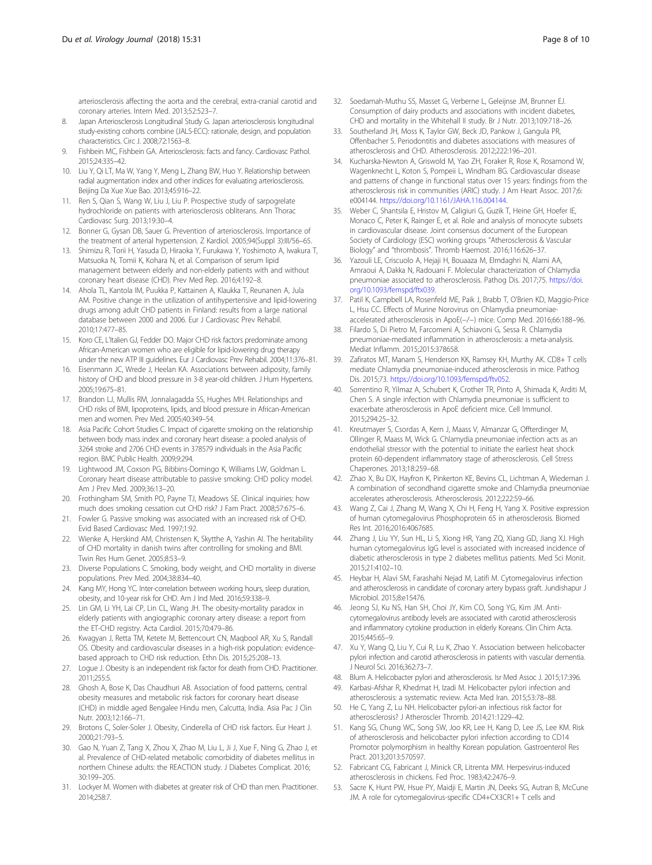<span id="page-7-0"></span>arteriosclerosis affecting the aorta and the cerebral, extra-cranial carotid and coronary arteries. Intern Med. 2013;52:523–7.

- 8. Japan Arteriosclerosis Longitudinal Study G. Japan arteriosclerosis longitudinal study-existing cohorts combine (JALS-ECC): rationale, design, and population characteristics. Circ J. 2008;72:1563–8.
- 9. Fishbein MC, Fishbein GA. Arteriosclerosis: facts and fancy. Cardiovasc Pathol. 2015;24:335–42.
- 10. Liu Y, Qi LT, Ma W, Yang Y, Meng L, Zhang BW, Huo Y. Relationship between radial augmentation index and other indices for evaluating arteriosclerosis. Beijing Da Xue Xue Bao. 2013;45:916–22.
- 11. Ren S, Qian S, Wang W, Liu J, Liu P. Prospective study of sarpogrelate hydrochloride on patients with arteriosclerosis obliterans. Ann Thorac Cardiovasc Surg. 2013;19:30–4.
- 12. Bonner G, Gysan DB, Sauer G. Prevention of arteriosclerosis. Importance of the treatment of arterial hypertension. Z Kardiol. 2005;94(Suppl 3):III/56–65.
- 13. Shimizu R, Torii H, Yasuda D, Hiraoka Y, Furukawa Y, Yoshimoto A, Iwakura T, Matsuoka N, Tomii K, Kohara N, et al. Comparison of serum lipid management between elderly and non-elderly patients with and without coronary heart disease (CHD). Prev Med Rep. 2016;4:192–8.
- 14. Ahola TL, Kantola IM, Puukka P, Kattainen A, Klaukka T, Reunanen A, Jula AM. Positive change in the utilization of antihypertensive and lipid-lowering drugs among adult CHD patients in Finland: results from a large national database between 2000 and 2006. Eur J Cardiovasc Prev Rehabil. 2010;17:477–85.
- 15. Koro CE, L'Italien GJ, Fedder DO. Major CHD risk factors predominate among African-American women who are eligible for lipid-lowering drug therapy under the new ATP III guidelines. Eur J Cardiovasc Prev Rehabil. 2004;11:376–81.
- 16. Eisenmann JC, Wrede J, Heelan KA. Associations between adiposity, family history of CHD and blood pressure in 3-8 year-old children. J Hum Hypertens. 2005;19:675–81.
- 17. Brandon LJ, Mullis RM, Jonnalagadda SS, Hughes MH. Relationships and CHD risks of BMI, lipoproteins, lipids, and blood pressure in African-American men and women. Prev Med. 2005;40:349–54.
- 18. Asia Pacific Cohort Studies C. Impact of cigarette smoking on the relationship between body mass index and coronary heart disease: a pooled analysis of 3264 stroke and 2706 CHD events in 378579 individuals in the Asia Pacific region. BMC Public Health. 2009;9:294.
- 19. Lightwood JM, Coxson PG, Bibbins-Domingo K, Williams LW, Goldman L. Coronary heart disease attributable to passive smoking: CHD policy model. Am J Prev Med. 2009;36:13–20.
- 20. Frothingham SM, Smith PO, Payne TJ, Meadows SE. Clinical inquiries: how much does smoking cessation cut CHD risk? J Fam Pract. 2008;57:675–6.
- 21. Fowler G. Passive smoking was associated with an increased risk of CHD. Evid Based Cardiovasc Med. 1997;1:92.
- 22. Wienke A, Herskind AM, Christensen K, Skytthe A, Yashin AI. The heritability of CHD mortality in danish twins after controlling for smoking and BMI. Twin Res Hum Genet. 2005;8:53–9.
- 23. Diverse Populations C. Smoking, body weight, and CHD mortality in diverse populations. Prev Med. 2004;38:834–40.
- 24. Kang MY, Hong YC. Inter-correlation between working hours, sleep duration, obesity, and 10-year risk for CHD. Am J Ind Med. 2016;59:338–9.
- 25. Lin GM, Li YH, Lai CP, Lin CL, Wang JH. The obesity-mortality paradox in elderly patients with angiographic coronary artery disease: a report from the ET-CHD registry. Acta Cardiol. 2015;70:479–86.
- 26. Kwagyan J, Retta TM, Ketete M, Bettencourt CN, Maqbool AR, Xu S, Randall OS. Obesity and cardiovascular diseases in a high-risk population: evidencebased approach to CHD risk reduction. Ethn Dis. 2015;25:208–13.
- 27. Logue J. Obesity is an independent risk factor for death from CHD. Practitioner. 2011;255:5.
- 28. Ghosh A, Bose K, Das Chaudhuri AB. Association of food patterns, central obesity measures and metabolic risk factors for coronary heart disease (CHD) in middle aged Bengalee Hindu men, Calcutta, India. Asia Pac J Clin Nutr. 2003;12:166–71.
- 29. Brotons C, Soler-Soler J. Obesity, Cinderella of CHD risk factors. Eur Heart J. 2000;21:793–5.
- 30. Gao N, Yuan Z, Tang X, Zhou X, Zhao M, Liu L, Ji J, Xue F, Ning G, Zhao J, et al. Prevalence of CHD-related metabolic comorbidity of diabetes mellitus in northern Chinese adults: the REACTION study. J Diabetes Complicat. 2016; 30:199–205.
- 31. Lockyer M. Women with diabetes at greater risk of CHD than men. Practitioner. 2014;258:7.
- 32. Soedamah-Muthu SS, Masset G, Verberne L, Geleijnse JM, Brunner EJ. Consumption of dairy products and associations with incident diabetes, CHD and mortality in the Whitehall II study. Br J Nutr. 2013;109:718–26.
- 33. Southerland JH, Moss K, Taylor GW, Beck JD, Pankow J, Gangula PR, Offenbacher S. Periodontitis and diabetes associations with measures of atherosclerosis and CHD. Atherosclerosis. 2012;222:196–201.
- 34. Kucharska-Newton A, Griswold M, Yao ZH, Foraker R, Rose K, Rosamond W, Wagenknecht L, Koton S, Pompeii L, Windham BG. Cardiovascular disease and patterns of change in functional status over 15 years: findings from the atherosclerosis risk in communities (ARIC) study. J Am Heart Assoc. 2017;6: e004144. [https://doi.org/10.1161/JAHA.116.004144](http://dx.doi.org/10.1161/JAHA.116.004144).
- 35. Weber C, Shantsila E, Hristov M, Caligiuri G, Guzik T, Heine GH, Hoefer IE, Monaco C, Peter K, Rainger E, et al. Role and analysis of monocyte subsets in cardiovascular disease. Joint consensus document of the European Society of Cardiology (ESC) working groups "Atherosclerosis & Vascular Biology" and "thrombosis". Thromb Haemost. 2016;116:626–37.
- 36. Yazouli LE, Criscuolo A, Hejaji H, Bouaaza M, Elmdaghri N, Alami AA, Amraoui A, Dakka N, Radouani F. Molecular characterization of Chlamydia pneumoniae associated to atherosclerosis. Pathog Dis. 2017;75. [https://doi.](http://dx.doi.org/10.1093/femspd/ftx039) [org/10.1093/femspd/ftx039](http://dx.doi.org/10.1093/femspd/ftx039).
- 37. Patil K, Campbell LA, Rosenfeld ME, Paik J, Brabb T, O'Brien KD, Maggio-Price L, Hsu CC. Effects of Murine Norovirus on Chlamydia pneumoniaeaccelerated atherosclerosis in ApoE(−/−) mice. Comp Med. 2016;66:188–96.
- 38. Filardo S, Di Pietro M, Farcomeni A, Schiavoni G, Sessa R. Chlamydia pneumoniae-mediated inflammation in atherosclerosis: a meta-analysis. Mediat Inflamm. 2015;2015:378658.
- 39. Zafiratos MT, Manam S, Henderson KK, Ramsey KH, Murthy AK. CD8+ T cells mediate Chlamydia pneumoniae-induced atherosclerosis in mice. Pathog Dis. 2015;73. [https://doi.org/10.1093/femspd/ftv052](http://dx.doi.org/10.1093/femspd/ftv052).
- 40. Sorrentino R, Yilmaz A, Schubert K, Crother TR, Pinto A, Shimada K, Arditi M, Chen S. A single infection with Chlamydia pneumoniae is sufficient to exacerbate atherosclerosis in ApoE deficient mice. Cell Immunol. 2015;294:25–32.
- 41. Kreutmayer S, Csordas A, Kern J, Maass V, Almanzar G, Offterdinger M, Ollinger R, Maass M, Wick G. Chlamydia pneumoniae infection acts as an endothelial stressor with the potential to initiate the earliest heat shock protein 60-dependent inflammatory stage of atherosclerosis. Cell Stress Chaperones. 2013;18:259–68.
- 42. Zhao X, Bu DX, Hayfron K, Pinkerton KE, Bevins CL, Lichtman A, Wiedeman J. A combination of secondhand cigarette smoke and Chlamydia pneumoniae accelerates atherosclerosis. Atherosclerosis. 2012;222:59–66.
- 43. Wang Z, Cai J, Zhang M, Wang X, Chi H, Feng H, Yang X. Positive expression of human cytomegalovirus Phosphoprotein 65 in atherosclerosis. Biomed Res Int. 2016;2016:4067685.
- 44. Zhang J, Liu YY, Sun HL, Li S, Xiong HR, Yang ZQ, Xiang GD, Jiang XJ. High human cytomegalovirus IgG level is associated with increased incidence of diabetic atherosclerosis in type 2 diabetes mellitus patients. Med Sci Monit. 2015;21:4102–10.
- 45. Heybar H, Alavi SM, Farashahi Nejad M, Latifi M. Cytomegalovirus infection and atherosclerosis in candidate of coronary artery bypass graft. Jundishapur J Microbiol. 2015;8:e15476.
- 46. Jeong SJ, Ku NS, Han SH, Choi JY, Kim CO, Song YG, Kim JM. Anticytomegalovirus antibody levels are associated with carotid atherosclerosis and inflammatory cytokine production in elderly Koreans. Clin Chim Acta. 2015;445:65–9.
- 47. Xu Y, Wang Q, Liu Y, Cui R, Lu K, Zhao Y. Association between helicobacter pylori infection and carotid atherosclerosis in patients with vascular dementia. J Neurol Sci. 2016;362:73–7.
- 48. Blum A. Helicobacter pylori and atherosclerosis. Isr Med Assoc J. 2015;17:396.
- 49. Karbasi-Afshar R, Khedmat H, Izadi M. Helicobacter pylori infection and atherosclerosis: a systematic review. Acta Med Iran. 2015;53:78–88.
- 50. He C, Yang Z, Lu NH. Helicobacter pylori-an infectious risk factor for atherosclerosis? J Atheroscler Thromb. 2014;21:1229–42.
- 51. Kang SG, Chung WC, Song SW, Joo KR, Lee H, Kang D, Lee JS, Lee KM. Risk of atherosclerosis and helicobacter pylori infection according to CD14 Promotor polymorphism in healthy Korean population. Gastroenterol Res Pract. 2013;2013:570597.
- 52. Fabricant CG, Fabricant J, Minick CR, Litrenta MM. Herpesvirus-induced atherosclerosis in chickens. Fed Proc. 1983;42:2476–9.
- 53. Sacre K, Hunt PW, Hsue PY, Maidji E, Martin JN, Deeks SG, Autran B, McCune JM. A role for cytomegalovirus-specific CD4+CX3CR1+ T cells and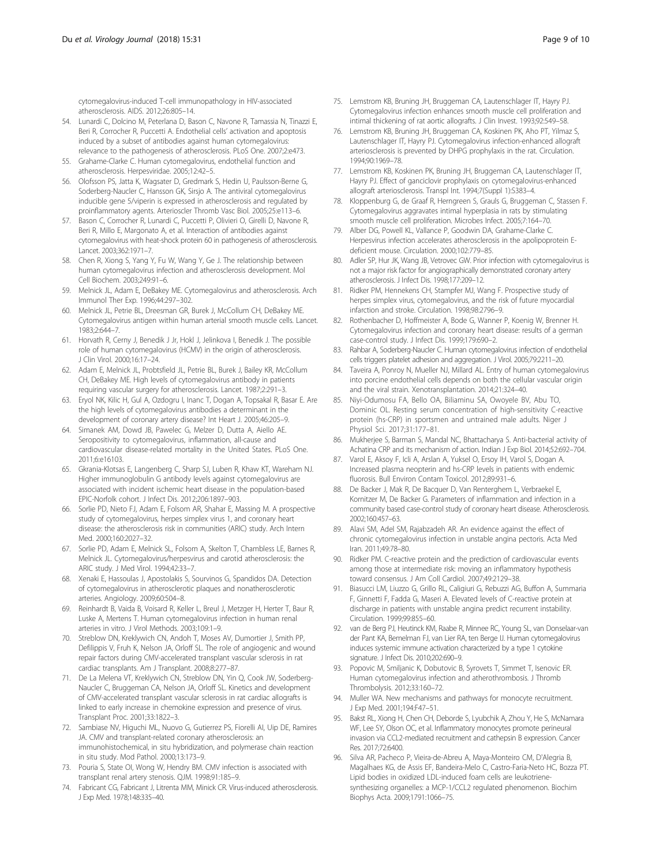<span id="page-8-0"></span>cytomegalovirus-induced T-cell immunopathology in HIV-associated atherosclerosis. AIDS. 2012;26:805–14.

- 54. Lunardi C, Dolcino M, Peterlana D, Bason C, Navone R, Tamassia N, Tinazzi E, Beri R, Corrocher R, Puccetti A. Endothelial cells' activation and apoptosis induced by a subset of antibodies against human cytomegalovirus: relevance to the pathogenesis of atherosclerosis. PLoS One. 2007;2:e473.
- 55. Grahame-Clarke C. Human cytomegalovirus, endothelial function and atherosclerosis. Herpesviridae. 2005;12:42–5.
- 56. Olofsson PS, Jatta K, Wagsater D, Gredmark S, Hedin U, Paulsson-Berne G, Soderberg-Naucler C, Hansson GK, Sirsjo A. The antiviral cytomegalovirus inducible gene 5/viperin is expressed in atherosclerosis and regulated by proinflammatory agents. Arterioscler Thromb Vasc Biol. 2005;25:e113–6.
- 57. Bason C, Corrocher R, Lunardi C, Puccetti P, Olivieri O, Girelli D, Navone R, Beri R, Millo E, Margonato A, et al. Interaction of antibodies against cytomegalovirus with heat-shock protein 60 in pathogenesis of atherosclerosis. Lancet. 2003;362:1971–7.
- 58. Chen R, Xiong S, Yang Y, Fu W, Wang Y, Ge J. The relationship between human cytomegalovirus infection and atherosclerosis development. Mol Cell Biochem. 2003;249:91–6.
- 59. Melnick JL, Adam E, DeBakey ME. Cytomegalovirus and atherosclerosis. Arch Immunol Ther Exp. 1996;44:297–302.
- 60. Melnick JL, Petrie BL, Dreesman GR, Burek J, McCollum CH, DeBakey ME. Cytomegalovirus antigen within human arterial smooth muscle cells. Lancet. 1983;2:644–7.
- 61. Horvath R, Cerny J, Benedik J Jr, Hokl J, Jelinkova I, Benedik J. The possible role of human cytomegalovirus (HCMV) in the origin of atherosclerosis. J Clin Virol. 2000;16:17–24.
- 62. Adam E, Melnick JL, Probtsfield JL, Petrie BL, Burek J, Bailey KR, McCollum CH, DeBakey ME. High levels of cytomegalovirus antibody in patients requiring vascular surgery for atherosclerosis. Lancet. 1987;2:291–3.
- 63. Eryol NK, Kilic H, Gul A, Ozdogru I, Inanc T, Dogan A, Topsakal R, Basar E. Are the high levels of cytomegalovirus antibodies a determinant in the development of coronary artery disease? Int Heart J. 2005;46:205–9.
- 64. Simanek AM, Dowd JB, Pawelec G, Melzer D, Dutta A, Aiello AE. Seropositivity to cytomegalovirus, inflammation, all-cause and cardiovascular disease-related mortality in the United States. PLoS One. 2011;6:e16103.
- 65. Gkrania-Klotsas E, Langenberg C, Sharp SJ, Luben R, Khaw KT, Wareham NJ. Higher immunoglobulin G antibody levels against cytomegalovirus are associated with incident ischemic heart disease in the population-based EPIC-Norfolk cohort. J Infect Dis. 2012;206:1897–903.
- 66. Sorlie PD, Nieto FJ, Adam E, Folsom AR, Shahar E, Massing M. A prospective study of cytomegalovirus, herpes simplex virus 1, and coronary heart disease: the atherosclerosis risk in communities (ARIC) study. Arch Intern Med. 2000;160:2027–32.
- 67. Sorlie PD, Adam E, Melnick SL, Folsom A, Skelton T, Chambless LE, Barnes R, Melnick JL. Cytomegalovirus/herpesvirus and carotid atherosclerosis: the ARIC study. J Med Virol. 1994;42:33–7.
- 68. Xenaki E, Hassoulas J, Apostolakis S, Sourvinos G, Spandidos DA. Detection of cytomegalovirus in atherosclerotic plaques and nonatherosclerotic arteries. Angiology. 2009;60:504–8.
- 69. Reinhardt B, Vaida B, Voisard R, Keller L, Breul J, Metzger H, Herter T, Baur R, Luske A, Mertens T. Human cytomegalovirus infection in human renal arteries in vitro. J Virol Methods. 2003;109:1–9.
- 70. Streblow DN, Kreklywich CN, Andoh T, Moses AV, Dumortier J, Smith PP, Defilippis V, Fruh K, Nelson JA, Orloff SL. The role of angiogenic and wound repair factors during CMV-accelerated transplant vascular sclerosis in rat cardiac transplants. Am J Transplant. 2008;8:277–87.
- 71. De La Melena VT, Kreklywich CN, Streblow DN, Yin Q, Cook JW, Soderberg-Naucler C, Bruggeman CA, Nelson JA, Orloff SL. Kinetics and development of CMV-accelerated transplant vascular sclerosis in rat cardiac allografts is linked to early increase in chemokine expression and presence of virus. Transplant Proc. 2001;33:1822–3.
- 72. Sambiase NV, Higuchi ML, Nuovo G, Gutierrez PS, Fiorelli AI, Uip DE, Ramires JA. CMV and transplant-related coronary atherosclerosis: an immunohistochemical, in situ hybridization, and polymerase chain reaction in situ study. Mod Pathol. 2000;13:173–9.
- 73. Pouria S, State OI, Wong W, Hendry BM. CMV infection is associated with transplant renal artery stenosis. QJM. 1998;91:185–9.
- 74. Fabricant CG, Fabricant J, Litrenta MM, Minick CR. Virus-induced atherosclerosis. J Exp Med. 1978;148:335–40.
- 75. Lemstrom KB, Bruning JH, Bruggeman CA, Lautenschlager IT, Hayry PJ. Cytomegalovirus infection enhances smooth muscle cell proliferation and intimal thickening of rat aortic allografts. J Clin Invest. 1993;92:549–58.
- 76. Lemstrom KB, Bruning JH, Bruggeman CA, Koskinen PK, Aho PT, Yilmaz S, Lautenschlager IT, Hayry PJ. Cytomegalovirus infection-enhanced allograft arteriosclerosis is prevented by DHPG prophylaxis in the rat. Circulation. 1994;90:1969–78.
- 77. Lemstrom KB, Koskinen PK, Bruning JH, Bruggeman CA, Lautenschlager IT, Hayry PJ. Effect of ganciclovir prophylaxis on cytomegalovirus-enhanced allograft arteriosclerosis. Transpl Int. 1994;7(Suppl 1):S383–4.
- 78. Kloppenburg G, de Graaf R, Herngreen S, Grauls G, Bruggeman C, Stassen F. Cytomegalovirus aggravates intimal hyperplasia in rats by stimulating smooth muscle cell proliferation. Microbes Infect. 2005;7:164–70.
- 79. Alber DG, Powell KL, Vallance P, Goodwin DA, Grahame-Clarke C. Herpesvirus infection accelerates atherosclerosis in the apolipoprotein Edeficient mouse. Circulation. 2000;102:779–85.
- 80. Adler SP, Hur JK, Wang JB, Vetrovec GW. Prior infection with cytomegalovirus is not a major risk factor for angiographically demonstrated coronary artery atherosclerosis. J Infect Dis. 1998;177:209–12.
- 81. Ridker PM, Hennekens CH, Stampfer MJ, Wang F. Prospective study of herpes simplex virus, cytomegalovirus, and the risk of future myocardial infarction and stroke. Circulation. 1998;98:2796–9.
- 82. Rothenbacher D, Hoffmeister A, Bode G, Wanner P, Koenig W, Brenner H. Cytomegalovirus infection and coronary heart disease: results of a german case-control study. J Infect Dis. 1999;179:690–2.
- 83. Rahbar A, Soderberg-Naucler C. Human cytomegalovirus infection of endothelial cells triggers platelet adhesion and aggregation. J Virol. 2005;79:2211–20.
- 84. Taveira A, Ponroy N, Mueller NJ, Millard AL. Entry of human cytomegalovirus into porcine endothelial cells depends on both the cellular vascular origin and the viral strain. Xenotransplantation. 2014;21:324–40.
- 85. Niyi-Odumosu FA, Bello OA, Biliaminu SA, Owoyele BV, Abu TO, Dominic OL. Resting serum concentration of high-sensitivity C-reactive protein (hs-CRP) in sportsmen and untrained male adults. Niger J Physiol Sci. 2017;31:177–81.
- 86. Mukherjee S, Barman S, Mandal NC, Bhattacharya S. Anti-bacterial activity of Achatina CRP and its mechanism of action. Indian J Exp Biol. 2014;52:692–704.
- 87. Varol E, Aksoy F, Icli A, Arslan A, Yuksel O, Ersoy IH, Varol S, Dogan A. Increased plasma neopterin and hs-CRP levels in patients with endemic fluorosis. Bull Environ Contam Toxicol. 2012;89:931–6.
- 88. De Backer J, Mak R, De Bacquer D, Van Renterghem L, Verbraekel E, Kornitzer M, De Backer G. Parameters of inflammation and infection in a community based case-control study of coronary heart disease. Atherosclerosis. 2002;160:457–63.
- 89. Alavi SM, Adel SM, Rajabzadeh AR. An evidence against the effect of chronic cytomegalovirus infection in unstable angina pectoris. Acta Med Iran. 2011;49:78–80.
- 90. Ridker PM. C-reactive protein and the prediction of cardiovascular events among those at intermediate risk: moving an inflammatory hypothesis toward consensus. J Am Coll Cardiol. 2007;49:2129–38.
- 91. Biasucci LM, Liuzzo G, Grillo RL, Caligiuri G, Rebuzzi AG, Buffon A, Summaria F, Ginnetti F, Fadda G, Maseri A. Elevated levels of C-reactive protein at discharge in patients with unstable angina predict recurrent instability. Circulation. 1999;99:855–60.
- 92. van de Berg PJ, Heutinck KM, Raabe R, Minnee RC, Young SL, van Donselaar-van der Pant KA, Bemelman FJ, van Lier RA, ten Berge IJ. Human cytomegalovirus induces systemic immune activation characterized by a type 1 cytokine signature. J Infect Dis. 2010;202:690–9.
- 93. Popovic M, Smiljanic K, Dobutovic B, Syrovets T, Simmet T, Isenovic ER. Human cytomegalovirus infection and atherothrombosis. J Thromb Thrombolysis. 2012;33:160–72.
- 94. Muller WA. New mechanisms and pathways for monocyte recruitment. J Exp Med. 2001;194:F47–51.
- 95. Bakst RL, Xiong H, Chen CH, Deborde S, Lyubchik A, Zhou Y, He S, McNamara WF, Lee SY, Olson OC, et al. Inflammatory monocytes promote perineural invasion via CCL2-mediated recruitment and cathepsin B expression. Cancer Res. 2017;72:6400.
- 96. Silva AR, Pacheco P, Vieira-de-Abreu A, Maya-Monteiro CM, D'Alegria B, Magalhaes KG, de Assis EF, Bandeira-Melo C, Castro-Faria-Neto HC, Bozza PT. Lipid bodies in oxidized LDL-induced foam cells are leukotrienesynthesizing organelles: a MCP-1/CCL2 regulated phenomenon. Biochim Biophys Acta. 2009;1791:1066–75.